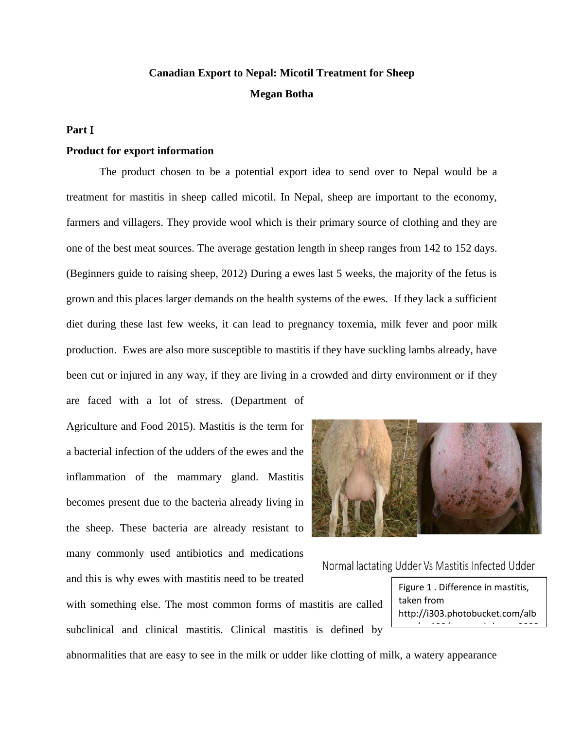# **Canadian Export to Nepal: Micotil Treatment for Sheep Megan Botha**

# **Part**

### **Product for export information**

The product chosen to be a potential export idea to send over to Nepal would be a treatment for mastitis in sheep called micotil. In Nepal, sheep are important to the economy, farmers and villagers. They provide wool which is their primary source of clothing and they are one of the best meat sources. The average gestation length in sheep ranges from 142 to 152 days. (Beginners guide to raising sheep, 2012) During a ewes last 5 weeks, the majority of the fetus is grown and this places larger demands on the health systems of the ewes. If they lack a sufficient diet during these last few weeks, it can lead to pregnancy toxemia, milk fever and poor milk production. Ewes are also more susceptible to mastitis if they have suckling lambs already, have been cut or injured in any way, if they are living in a crowded and dirty environment or if they

are faced with a lot of stress. (Department of Agriculture and Food 2015). Mastitis is the term for a bacterial infection of the udders of the ewes and the inflammation of the mammary gland. Mastitis becomes present due to the bacteria already living in the sheep. These bacteria are already resistant to many commonly used antibiotics and medications and this is why ewes with mastitis need to be treated



Normal lactating Udder Vs Mastitis Infected Udder

with something else. The most common forms of mastitis are called subclinical and clinical mastitis. Clinical mastitis is defined by

abnormalities that are easy to see in the milk or udder like clotting of milk, a watery appearance

Figure 1 . Difference in mastitis, taken from http://i303.photobucket.com/alb

ums/nn<del>130/tamaracksheep</del>\_2008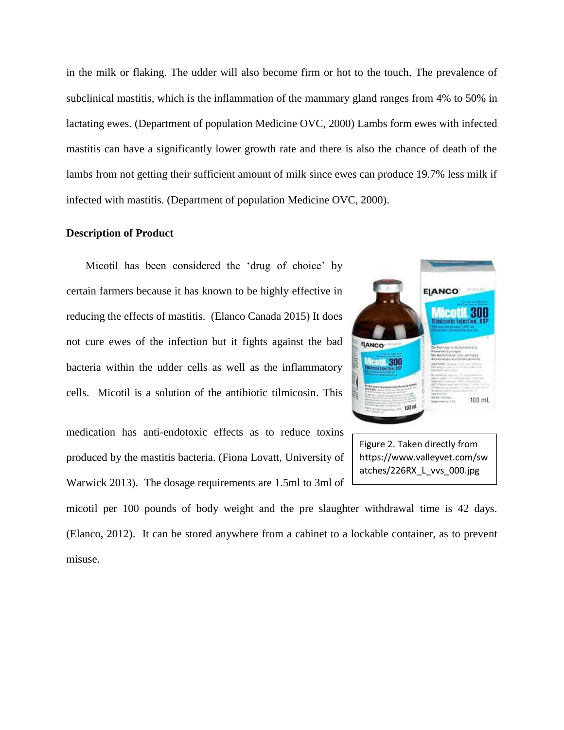in the milk or flaking. The udder will also become firm or hot to the touch. The prevalence of subclinical mastitis, which is the inflammation of the mammary gland ranges from 4% to 50% in lactating ewes. (Department of population Medicine OVC, 2000) Lambs form ewes with infected mastitis can have a significantly lower growth rate and there is also the chance of death of the lambs from not getting their sufficient amount of milk since ewes can produce 19.7% less milk if infected with mastitis. (Department of population Medicine OVC, 2000).

# **Description of Product**

 Micotil has been considered the 'drug of choice' by certain farmers because it has known to be highly effective in reducing the effects of mastitis. (Elanco Canada 2015) It does not cure ewes of the infection but it fights against the bad bacteria within the udder cells as well as the inflammatory cells. Micotil is a solution of the antibiotic tilmicosin. This

medication has anti-endotoxic effects as to reduce toxins produced by the mastitis bacteria. (Fiona Lovatt, University of Warwick 2013). The dosage requirements are 1.5ml to 3ml of



Figure 2. Taken directly from https://www.valleyvet.com/sw atches/226RX\_L\_vvs\_000.jpg

micotil per 100 pounds of body weight and the pre slaughter withdrawal time is 42 days. (Elanco, 2012). It can be stored anywhere from a cabinet to a lockable container, as to prevent misuse.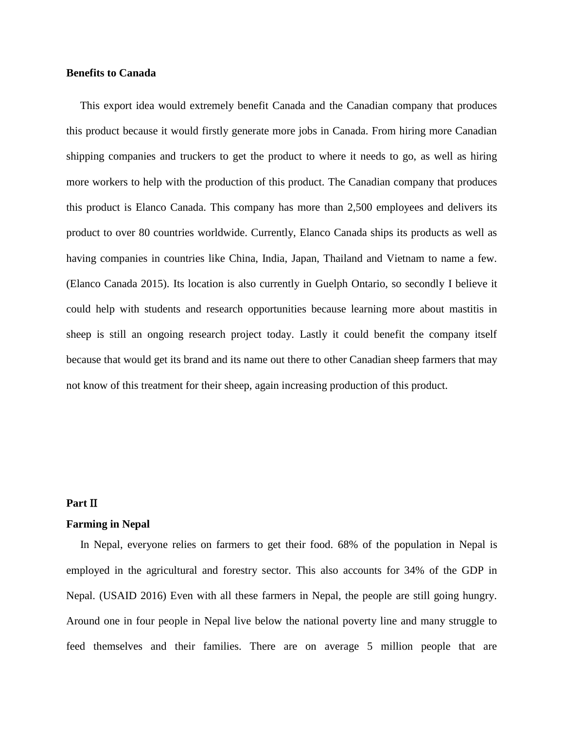# **Benefits to Canada**

This export idea would extremely benefit Canada and the Canadian company that produces this product because it would firstly generate more jobs in Canada. From hiring more Canadian shipping companies and truckers to get the product to where it needs to go, as well as hiring more workers to help with the production of this product. The Canadian company that produces this product is Elanco Canada. This company has more than 2,500 employees and delivers its product to over 80 countries worldwide. Currently, Elanco Canada ships its products as well as having companies in countries like China, India, Japan, Thailand and Vietnam to name a few. (Elanco Canada 2015). Its location is also currently in Guelph Ontario, so secondly I believe it could help with students and research opportunities because learning more about mastitis in sheep is still an ongoing research project today. Lastly it could benefit the company itself because that would get its brand and its name out there to other Canadian sheep farmers that may not know of this treatment for their sheep, again increasing production of this product.

# Part II

# **Farming in Nepal**

In Nepal, everyone relies on farmers to get their food. 68% of the population in Nepal is employed in the agricultural and forestry sector. This also accounts for 34% of the GDP in Nepal. (USAID 2016) Even with all these farmers in Nepal, the people are still going hungry. Around one in four people in Nepal live below the national poverty line and many struggle to feed themselves and their families. There are on average 5 million people that are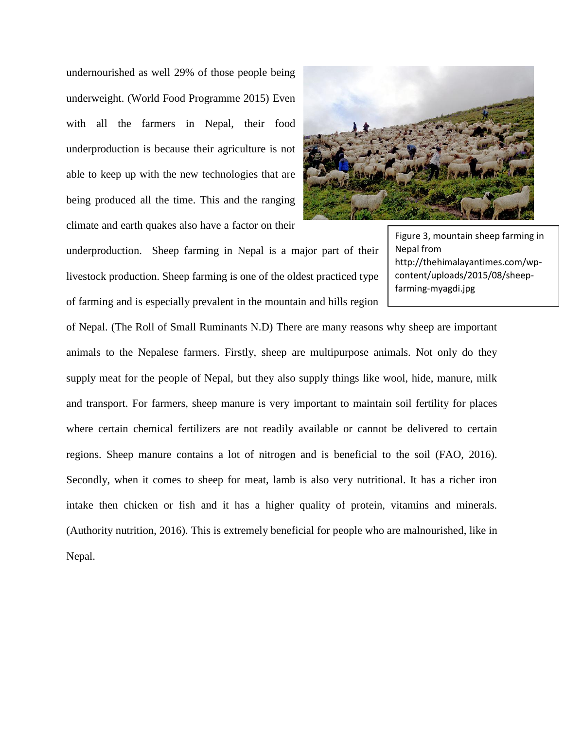undernourished as well 29% of those people being underweight. (World Food Programme 2015) Even with all the farmers in Nepal, their food underproduction is because their agriculture is not able to keep up with the new technologies that are being produced all the time. This and the ranging climate and earth quakes also have a factor on their

![](_page_3_Picture_1.jpeg)

underproduction. Sheep farming in Nepal is a major part of their livestock production. Sheep farming is one of the oldest practiced type of farming and is especially prevalent in the mountain and hills region

Figure 3, mountain sheep farming in Nepal from http://thehimalayantimes.com/wpcontent/uploads/2015/08/sheepfarming-myagdi.jpg

of Nepal. (The Roll of Small Ruminants N.D) There are many reasons why sheep are important animals to the Nepalese farmers. Firstly, sheep are multipurpose animals. Not only do they supply meat for the people of Nepal, but they also supply things like wool, hide, manure, milk and transport. For farmers, sheep manure is very important to maintain soil fertility for places where certain chemical fertilizers are not readily available or cannot be delivered to certain regions. Sheep manure contains a lot of nitrogen and is beneficial to the soil (FAO, 2016). Secondly, when it comes to sheep for meat, lamb is also very nutritional. It has a richer iron intake then chicken or fish and it has a higher quality of protein, vitamins and minerals. (Authority nutrition, 2016). This is extremely beneficial for people who are malnourished, like in Nepal.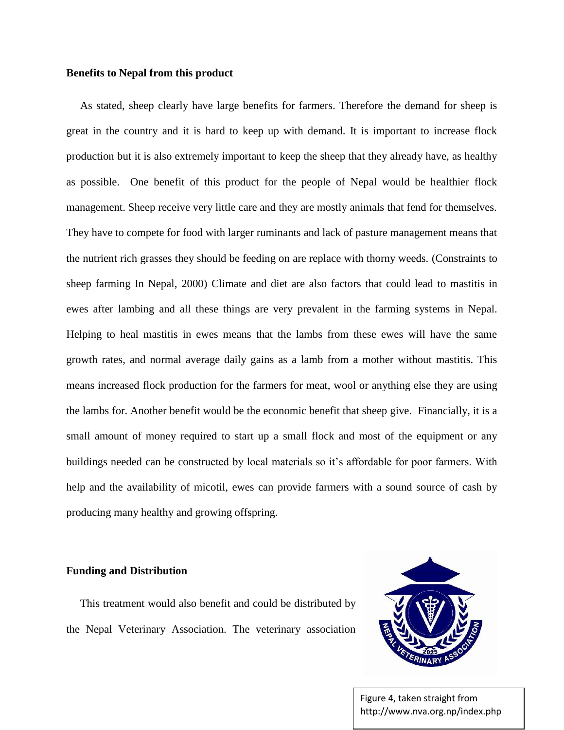#### **Benefits to Nepal from this product**

 As stated, sheep clearly have large benefits for farmers. Therefore the demand for sheep is great in the country and it is hard to keep up with demand. It is important to increase flock production but it is also extremely important to keep the sheep that they already have, as healthy as possible. One benefit of this product for the people of Nepal would be healthier flock management. Sheep receive very little care and they are mostly animals that fend for themselves. They have to compete for food with larger ruminants and lack of pasture management means that the nutrient rich grasses they should be feeding on are replace with thorny weeds. (Constraints to sheep farming In Nepal, 2000) Climate and diet are also factors that could lead to mastitis in ewes after lambing and all these things are very prevalent in the farming systems in Nepal. Helping to heal mastitis in ewes means that the lambs from these ewes will have the same growth rates, and normal average daily gains as a lamb from a mother without mastitis. This means increased flock production for the farmers for meat, wool or anything else they are using the lambs for. Another benefit would be the economic benefit that sheep give. Financially, it is a small amount of money required to start up a small flock and most of the equipment or any buildings needed can be constructed by local materials so it's affordable for poor farmers. With help and the availability of micotil, ewes can provide farmers with a sound source of cash by producing many healthy and growing offspring.

#### **Funding and Distribution**

 This treatment would also benefit and could be distributed by the Nepal Veterinary Association. The veterinary association

![](_page_4_Picture_4.jpeg)

Figure 4, taken straight from http://www.nva.org.np/index.php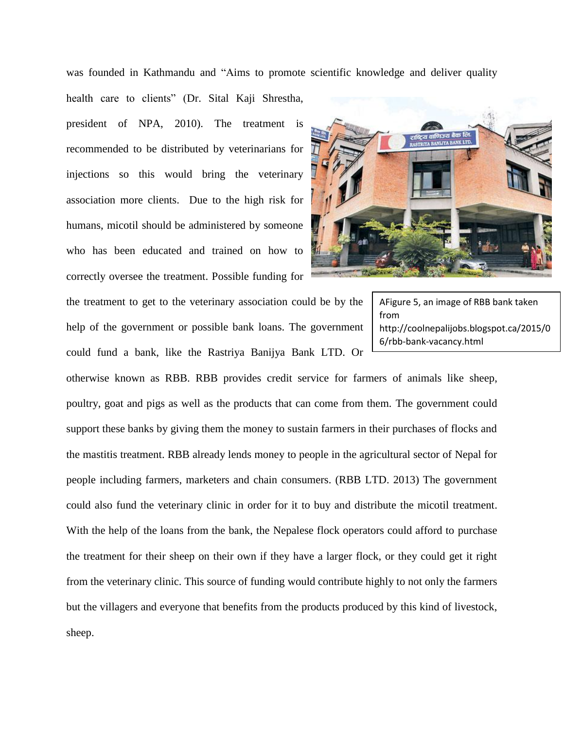was founded in Kathmandu and "Aims to promote scientific knowledge and deliver quality

health care to clients" (Dr. Sital Kaji Shrestha, president of NPA, 2010). The treatment is recommended to be distributed by veterinarians for injections so this would bring the veterinary association more clients. Due to the high risk for humans, micotil should be administered by someone who has been educated and trained on how to correctly oversee the treatment. Possible funding for

the treatment to get to the veterinary association could be by the help of the government or possible bank loans. The government could fund a bank, like the Rastriya Banijya Bank LTD. Or

AFigure 5, an image of RBB bank taken from http://coolnepalijobs.blogspot.ca/2015/0 6/rbb-bank-vacancy.html

otherwise known as RBB. RBB provides credit service for farmers of animals like sheep, poultry, goat and pigs as well as the products that can come from them. The government could support these banks by giving them the money to sustain farmers in their purchases of flocks and the mastitis treatment. RBB already lends money to people in the agricultural sector of Nepal for people including farmers, marketers and chain consumers. (RBB LTD. 2013) The government could also fund the veterinary clinic in order for it to buy and distribute the micotil treatment. With the help of the loans from the bank, the Nepalese flock operators could afford to purchase the treatment for their sheep on their own if they have a larger flock, or they could get it right from the veterinary clinic. This source of funding would contribute highly to not only the farmers but the villagers and everyone that benefits from the products produced by this kind of livestock, sheep.

![](_page_5_Picture_5.jpeg)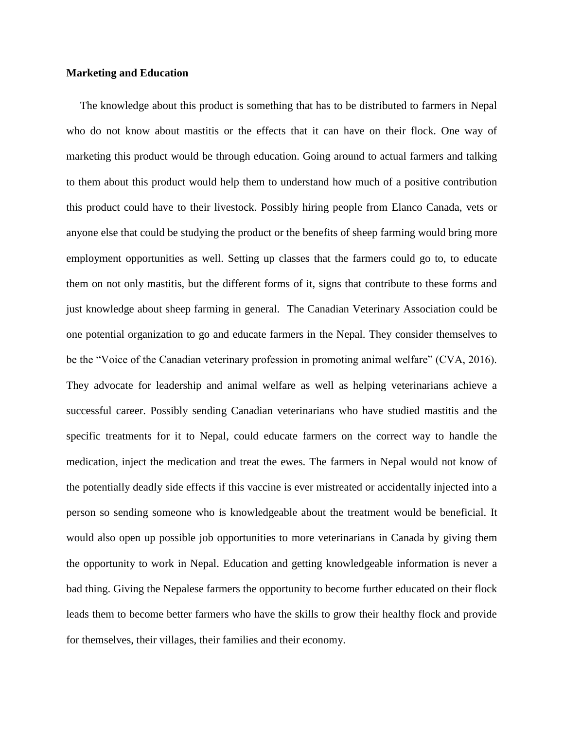#### **Marketing and Education**

The knowledge about this product is something that has to be distributed to farmers in Nepal who do not know about mastitis or the effects that it can have on their flock. One way of marketing this product would be through education. Going around to actual farmers and talking to them about this product would help them to understand how much of a positive contribution this product could have to their livestock. Possibly hiring people from Elanco Canada, vets or anyone else that could be studying the product or the benefits of sheep farming would bring more employment opportunities as well. Setting up classes that the farmers could go to, to educate them on not only mastitis, but the different forms of it, signs that contribute to these forms and just knowledge about sheep farming in general. The Canadian Veterinary Association could be one potential organization to go and educate farmers in the Nepal. They consider themselves to be the "Voice of the Canadian veterinary profession in promoting animal welfare" (CVA, 2016). They advocate for leadership and animal welfare as well as helping veterinarians achieve a successful career. Possibly sending Canadian veterinarians who have studied mastitis and the specific treatments for it to Nepal, could educate farmers on the correct way to handle the medication, inject the medication and treat the ewes. The farmers in Nepal would not know of the potentially deadly side effects if this vaccine is ever mistreated or accidentally injected into a person so sending someone who is knowledgeable about the treatment would be beneficial. It would also open up possible job opportunities to more veterinarians in Canada by giving them the opportunity to work in Nepal. Education and getting knowledgeable information is never a bad thing. Giving the Nepalese farmers the opportunity to become further educated on their flock leads them to become better farmers who have the skills to grow their healthy flock and provide for themselves, their villages, their families and their economy.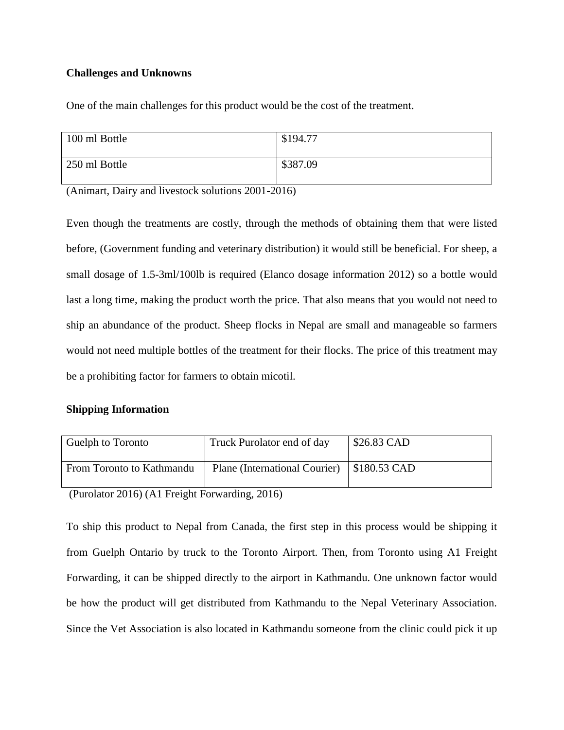# **Challenges and Unknowns**

One of the main challenges for this product would be the cost of the treatment.

| 100 ml Bottle | \$194.77 |
|---------------|----------|
| 250 ml Bottle | \$387.09 |

(Animart, Dairy and livestock solutions 2001-2016)

Even though the treatments are costly, through the methods of obtaining them that were listed before, (Government funding and veterinary distribution) it would still be beneficial. For sheep, a small dosage of 1.5-3ml/100lb is required (Elanco dosage information 2012) so a bottle would last a long time, making the product worth the price. That also means that you would not need to ship an abundance of the product. Sheep flocks in Nepal are small and manageable so farmers would not need multiple bottles of the treatment for their flocks. The price of this treatment may be a prohibiting factor for farmers to obtain micotil.

# **Shipping Information**

| From Toronto to Kathmandu | Plane (International Courier) | $\frac{1}{2}$ \$180.53 CAD |
|---------------------------|-------------------------------|----------------------------|

(Purolator 2016) (A1 Freight Forwarding, 2016)

To ship this product to Nepal from Canada, the first step in this process would be shipping it from Guelph Ontario by truck to the Toronto Airport. Then, from Toronto using A1 Freight Forwarding, it can be shipped directly to the airport in Kathmandu. One unknown factor would be how the product will get distributed from Kathmandu to the Nepal Veterinary Association. Since the Vet Association is also located in Kathmandu someone from the clinic could pick it up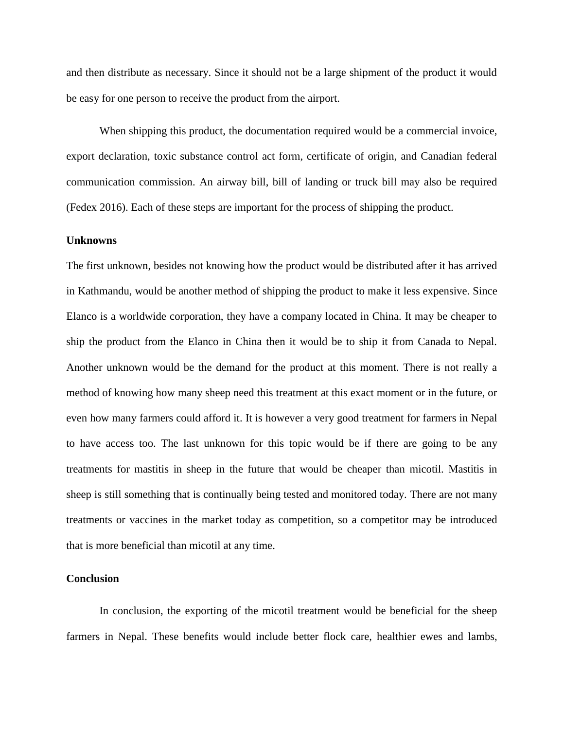and then distribute as necessary. Since it should not be a large shipment of the product it would be easy for one person to receive the product from the airport.

When shipping this product, the documentation required would be a commercial invoice, export declaration, toxic substance control act form, certificate of origin, and Canadian federal communication commission. An airway bill, bill of landing or truck bill may also be required (Fedex 2016). Each of these steps are important for the process of shipping the product.

#### **Unknowns**

The first unknown, besides not knowing how the product would be distributed after it has arrived in Kathmandu, would be another method of shipping the product to make it less expensive. Since Elanco is a worldwide corporation, they have a company located in China. It may be cheaper to ship the product from the Elanco in China then it would be to ship it from Canada to Nepal. Another unknown would be the demand for the product at this moment. There is not really a method of knowing how many sheep need this treatment at this exact moment or in the future, or even how many farmers could afford it. It is however a very good treatment for farmers in Nepal to have access too. The last unknown for this topic would be if there are going to be any treatments for mastitis in sheep in the future that would be cheaper than micotil. Mastitis in sheep is still something that is continually being tested and monitored today. There are not many treatments or vaccines in the market today as competition, so a competitor may be introduced that is more beneficial than micotil at any time.

# **Conclusion**

In conclusion, the exporting of the micotil treatment would be beneficial for the sheep farmers in Nepal. These benefits would include better flock care, healthier ewes and lambs,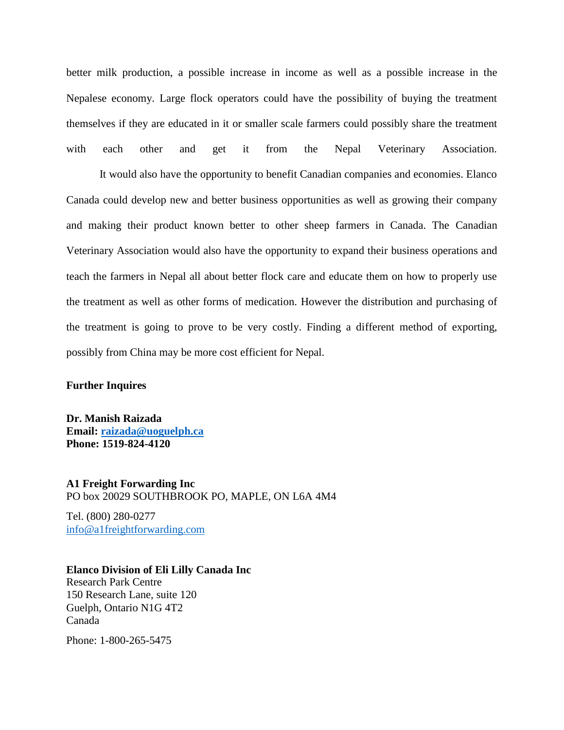better milk production, a possible increase in income as well as a possible increase in the Nepalese economy. Large flock operators could have the possibility of buying the treatment themselves if they are educated in it or smaller scale farmers could possibly share the treatment with each other and get it from the Nepal Veterinary Association.

 It would also have the opportunity to benefit Canadian companies and economies. Elanco Canada could develop new and better business opportunities as well as growing their company and making their product known better to other sheep farmers in Canada. The Canadian Veterinary Association would also have the opportunity to expand their business operations and teach the farmers in Nepal all about better flock care and educate them on how to properly use the treatment as well as other forms of medication. However the distribution and purchasing of the treatment is going to prove to be very costly. Finding a different method of exporting, possibly from China may be more cost efficient for Nepal.

# **Further Inquires**

**Dr. Manish Raizada Email: [raizada@uoguelph.ca](mailto:raizada@uoguelph.ca) Phone: 1519-824-4120**

**A1 Freight Forwarding Inc** PO box 20029 SOUTHBROOK PO, MAPLE, ON L6A 4M4

Tel. (800) 280-0277 [info@a1freightforwarding.com](mailto:info@a1freightforwarding.com)

## **Elanco Division of Eli Lilly Canada Inc**

Research Park Centre 150 Research Lane, suite 120 Guelph, Ontario N1G 4T2 Canada

Phone: 1-800-265-5475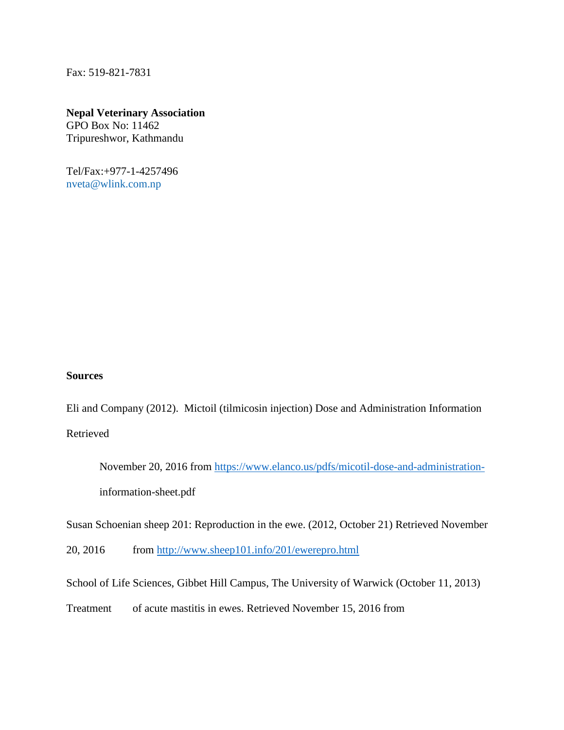Fax: 519-821-7831

# **Nepal Veterinary Association**

GPO Box No: 11462 Tripureshwor, Kathmandu

Tel/Fax:+977-1-4257496 [nveta@wlink.com.np](mailto:vetnewsnepal@yahoo.com)

# **Sources**

Eli and Company (2012). Mictoil (tilmicosin injection) Dose and Administration Information Retrieved

```
November 20, 2016 from https://www.elanco.us/pdfs/micotil-dose-and-administration-
information-sheet.pdf
```
Susan Schoenian sheep 201: Reproduction in the ewe. (2012, October 21) Retrieved November

20, 2016 from<http://www.sheep101.info/201/ewerepro.html>

School of Life Sciences, Gibbet Hill Campus, The University of Warwick (October 11, 2013)

Treatment of acute mastitis in ewes. Retrieved November 15, 2016 from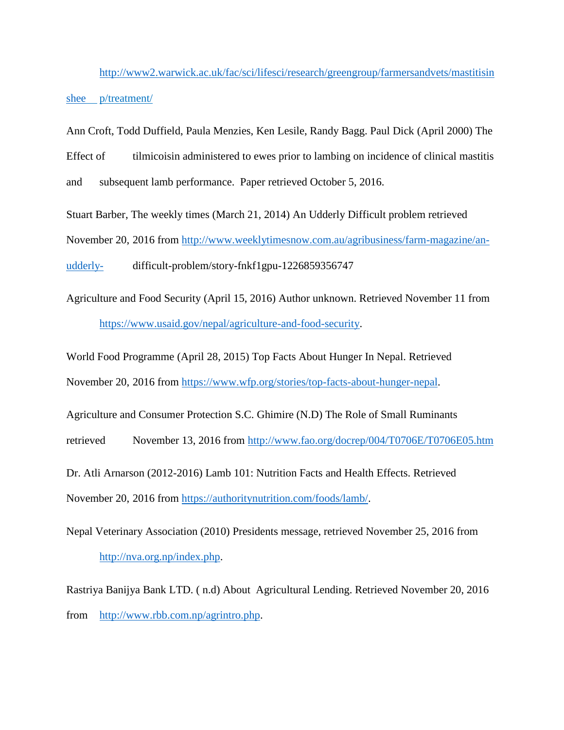[http://www2.warwick.ac.uk/fac/sci/lifesci/research/greengroup/farmersandvets/mastitisin](http://www2.warwick.ac.uk/fac/sci/lifesci/research/greengroup/farmersandvets/mastitisinshee) [shee](http://www2.warwick.ac.uk/fac/sci/lifesci/research/greengroup/farmersandvets/mastitisinshee) p/treatment/

Ann Croft, Todd Duffield, Paula Menzies, Ken Lesile, Randy Bagg. Paul Dick (April 2000) The Effect of tilmicoisin administered to ewes prior to lambing on incidence of clinical mastitis and subsequent lamb performance. Paper retrieved October 5, 2016.

Stuart Barber, The weekly times (March 21, 2014) An Udderly Difficult problem retrieved November 20, 2016 from [http://www.weeklytimesnow.com.au/agribusiness/farm-magazine/an](http://www.weeklytimesnow.com.au/agribusiness/farm-magazine/an-udderly-)[udderly-](http://www.weeklytimesnow.com.au/agribusiness/farm-magazine/an-udderly-) difficult-problem/story-fnkf1gpu-1226859356747

Agriculture and Food Security (April 15, 2016) Author unknown. Retrieved November 11 from [https://www.usaid.gov/nepal/agriculture-and-food-security.](https://www.usaid.gov/nepal/agriculture-and-food-security)

World Food Programme (April 28, 2015) Top Facts About Hunger In Nepal. Retrieved

November 20, 2016 from [https://www.wfp.org/stories/top-facts-about-hunger-nepal.](https://www.wfp.org/stories/top-facts-about-hunger-nepal)

Agriculture and Consumer Protection S.C. Ghimire (N.D) The Role of Small Ruminants

retrieved November 13, 2016 from<http://www.fao.org/docrep/004/T0706E/T0706E05.htm>

Dr. Atli Arnarson (2012-2016) Lamb 101: Nutrition Facts and Health Effects. Retrieved November 20, 2016 from [https://authoritynutrition.com/foods/lamb/.](https://authoritynutrition.com/foods/lamb/)

Nepal Veterinary Association (2010) Presidents message, retrieved November 25, 2016 from [http://nva.org.np/index.php.](http://nva.org.np/index.php)

Rastriya Banijya Bank LTD. ( n.d) About Agricultural Lending. Retrieved November 20, 2016 from [http://www.rbb.com.np/agrintro.php.](http://www.rbb.com.np/agrintro.php)